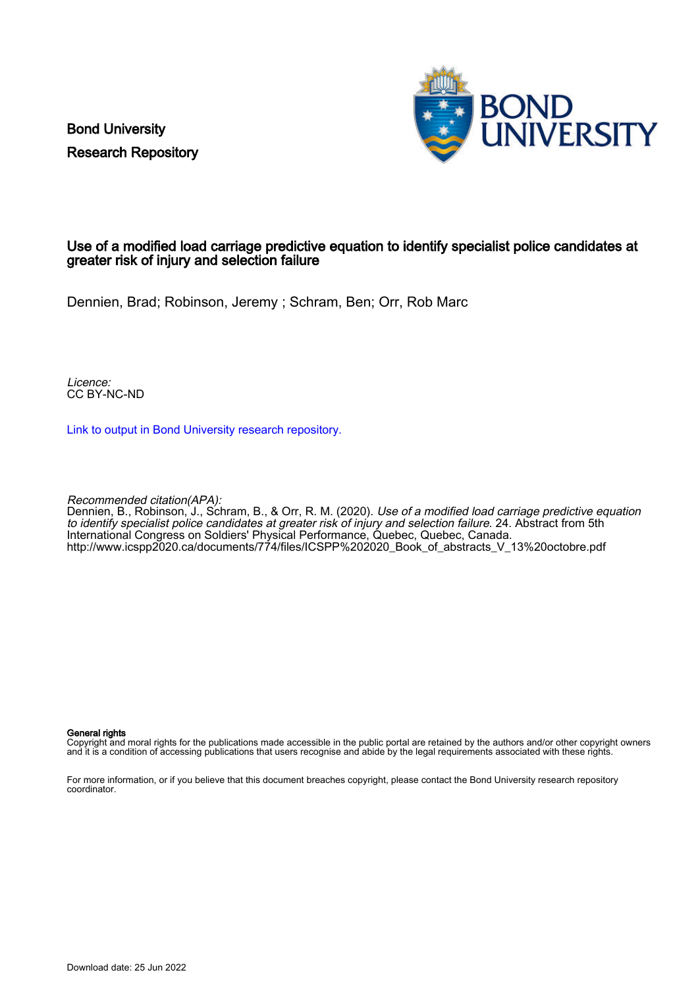Bond University Research Repository



### Use of a modified load carriage predictive equation to identify specialist police candidates at greater risk of injury and selection failure

Dennien, Brad; Robinson, Jeremy ; Schram, Ben; Orr, Rob Marc

Licence: CC BY-NC-ND

[Link to output in Bond University research repository.](https://research.bond.edu.au/en/publications/11b5530f-f578-4680-af77-41abce1ab6fe)

Recommended citation(APA):

Dennien, B., Robinson, J., Schram, B., & Orr, R. M. (2020). Use of a modified load carriage predictive equation to identify specialist police candidates at greater risk of injury and selection failure. 24. Abstract from 5th International Congress on Soldiers' Physical Performance, Quebec, Quebec, Canada. [http://www.icspp2020.ca/documents/774/files/ICSPP%202020\\_Book\\_of\\_abstracts\\_V\\_13%20octobre.pdf](http://www.icspp2020.ca/documents/774/files/ICSPP%202020_Book_of_abstracts_V_13%20octobre.pdf)

### General rights

Copyright and moral rights for the publications made accessible in the public portal are retained by the authors and/or other copyright owners and it is a condition of accessing publications that users recognise and abide by the legal requirements associated with these rights.

For more information, or if you believe that this document breaches copyright, please contact the Bond University research repository coordinator.